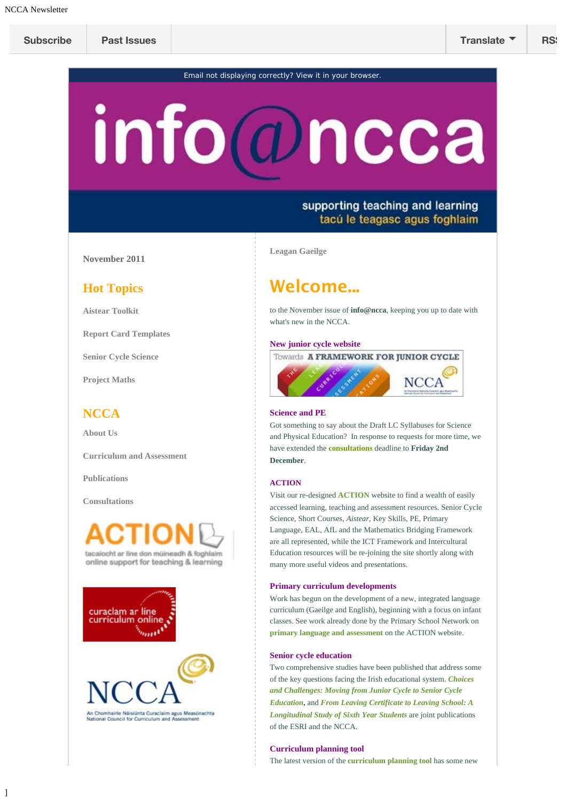Email not displaying correctly? [View it in your browser.](#page-0-0)

# <span id="page-0-0"></span>info@ncca

# supporting teaching and learning tacú le teagasc agus foghlaim

**November 2011**

### **Hot Topics**

**[Aistear Toolkit](http://action.ncca.ie/)**

**[Report Card Templates](http://www.ncca.ie/en/Curriculum_and_Assessment/Early_Childhood_and_Primary_Education/Primary_School_Curriculum/Assessment/Report_Card_Templates/)**

**[Senior Cycle Science](http://www.ncca.ie/en/Consultations/Senior_Cycle_Science/Senior_Cycle_Science_Consultation.html)**

**[Project Maths](http://www.ncca.ie/en/Curriculum_and_Assessment/Post-Primary_Education/Project_Maths/Project_Maths.html)**

## **NCCA**

**[About Us](http://www.ncca.ie/en/About_Us/)**

**[Curriculum and Assessment](http://www.ncca.ie/en/Curriculum_and_Assessment/)**

**[Publications](http://www.ncca.ie/en/Publications/)**

**[Consultations](http://www.ncca.ie/en/Consultations/)**

]





**[Leagan Gaeilge](http://us1.campaign-archive2.com/?u=45a470de7331ad927e2461762&id=395c905dec&e=)**

# **Welcome...**

to the November issue of **info@ncca**, keeping you up to date with what's new in the NCCA.

#### **New junior cycle website**



#### **Science and PE**

Got something to say about the Draft LC Syllabuses for Science and Physical Education? In response to requests for more time, we have extended th[e](http://www.ncca.ie/en/Consultations/Consultations.html) **[consultations](http://www.ncca.ie/en/Consultations/Consultations.html)** deadline to **Friday 2nd December**.

#### **ACTION**

Visit our re-designed **[ACTION](http://action.ncca.ie/)** website to find a wealth of easily accessed learning, teaching and assessment resources. Senior Cycle Science, Short Courses, *Aistear,* Key Skills, PE, Primary Language, EAL, AfL and the Mathematics Bridging Framework are all represented, while the ICT Framework and Intercultural Education resources will be re-joining the site shortly along with many more useful videos and presentations.

#### **Primary curriculum developments**

Work has begun on the development of a new, integrated language curriculum (Gaeilge and English), beginning with a focus on infant classes. See work already done by the Primary School Network on **[primary language and assessment](http://action.ncca.ie/)** on the ACTION website.

#### **Senior cycle education**

Two comprehensive studies have been published that address some of the key questions facing the Irish educational system. *[Choices](http://www.esri.ie/UserFiles/publications/BKMNEXT194.pdf) [and Challenges: Moving from Junior Cycle to Senior Cycle](http://www.esri.ie/UserFiles/publications/BKMNEXT194.pdf) [Education](http://www.esri.ie/UserFiles/publications/BKMNEXT194.pdf)***[,](http://www.esri.ie/UserFiles/publications/BKMNEXT194.pdf)** and *[From Leaving Certificate to Leaving School: A](http://www.esri.ie/UserFiles/publications/BKMNEXT195.pdf) [Longitudinal Study of Sixth Year Students](http://www.esri.ie/UserFiles/publications/BKMNEXT195.pdf)* are joint publications of the ESRI and the NCCA.

#### **Curriculum planning tool**

The latest version of the **[curriculum planning tool](http://nccaplanning.ie/)** has some new